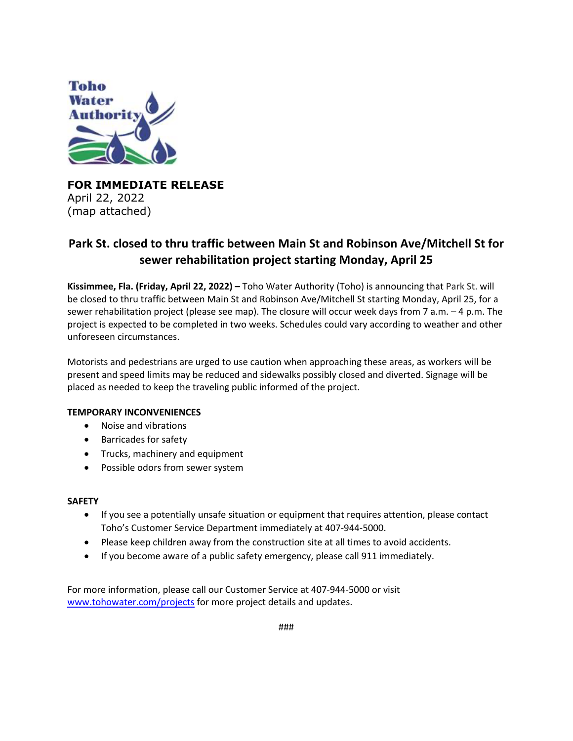

**FOR IMMEDIATE RELEASE**  April 22, 2022 (map attached)

## **Park St. closed to thru traffic between Main St and Robinson Ave/Mitchell St for sewer rehabilitation project starting Monday, April 25**

**Kissimmee, Fla. (Friday, April 22, 2022) –** Toho Water Authority (Toho) is announcing that Park St. will be closed to thru traffic between Main St and Robinson Ave/Mitchell St starting Monday, April 25, for a sewer rehabilitation project (please see map). The closure will occur week days from 7 a.m. – 4 p.m. The project is expected to be completed in two weeks. Schedules could vary according to weather and other unforeseen circumstances.

Motorists and pedestrians are urged to use caution when approaching these areas, as workers will be present and speed limits may be reduced and sidewalks possibly closed and diverted. Signage will be placed as needed to keep the traveling public informed of the project.

## **TEMPORARY INCONVENIENCES**

- Noise and vibrations
- Barricades for safety
- Trucks, machinery and equipment
- Possible odors from sewer system

## **SAFETY**

- If you see a potentially unsafe situation or equipment that requires attention, please contact Toho's Customer Service Department immediately at 407-944-5000.
- Please keep children away from the construction site at all times to avoid accidents.
- If you become aware of a public safety emergency, please call 911 immediately.

For more information, please call our Customer Service at 407-944-5000 or visit www.tohowater.com/projects for more project details and updates.